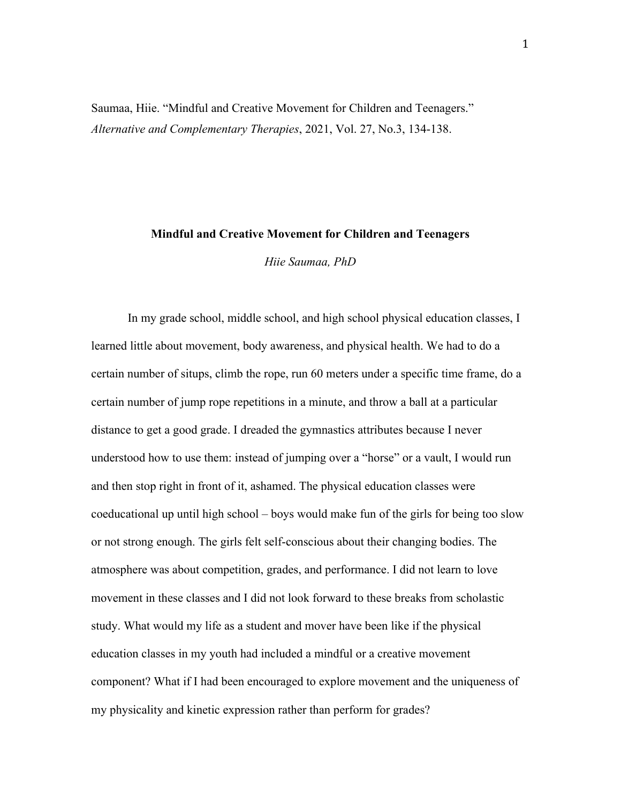Saumaa, Hiie. "Mindful and Creative Movement for Children and Teenagers." *Alternative and Complementary Therapies*, 2021, Vol. 27, No.3, 134-138.

#### **Mindful and Creative Movement for Children and Teenagers**

*Hiie Saumaa, PhD* 

In my grade school, middle school, and high school physical education classes, I learned little about movement, body awareness, and physical health. We had to do a certain number of situps, climb the rope, run 60 meters under a specific time frame, do a certain number of jump rope repetitions in a minute, and throw a ball at a particular distance to get a good grade. I dreaded the gymnastics attributes because I never understood how to use them: instead of jumping over a "horse" or a vault, I would run and then stop right in front of it, ashamed. The physical education classes were coeducational up until high school – boys would make fun of the girls for being too slow or not strong enough. The girls felt self-conscious about their changing bodies. The atmosphere was about competition, grades, and performance. I did not learn to love movement in these classes and I did not look forward to these breaks from scholastic study. What would my life as a student and mover have been like if the physical education classes in my youth had included a mindful or a creative movement component? What if I had been encouraged to explore movement and the uniqueness of my physicality and kinetic expression rather than perform for grades?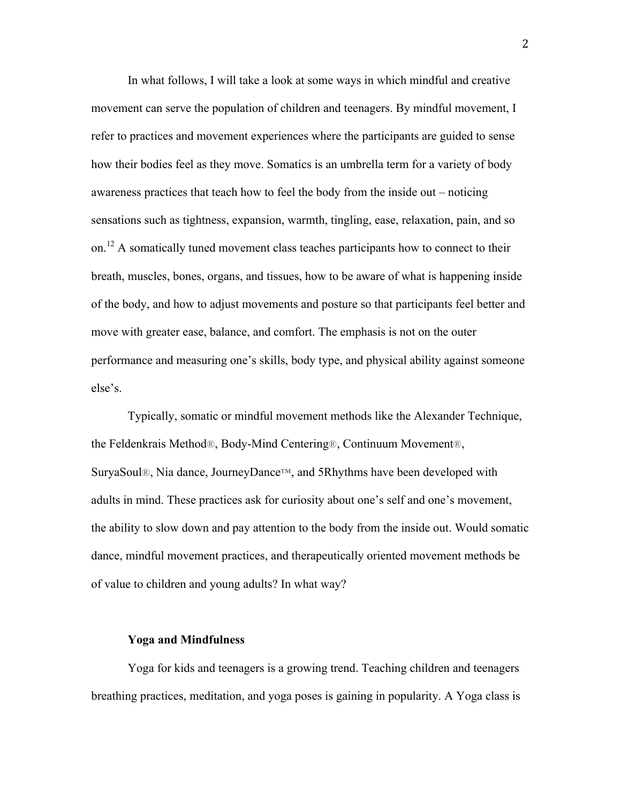In what follows, I will take a look at some ways in which mindful and creative movement can serve the population of children and teenagers. By mindful movement, I refer to practices and movement experiences where the participants are guided to sense how their bodies feel as they move. Somatics is an umbrella term for a variety of body awareness practices that teach how to feel the body from the inside out – noticing sensations such as tightness, expansion, warmth, tingling, ease, relaxation, pain, and so on.<sup>12</sup> A somatically tuned movement class teaches participants how to connect to their breath, muscles, bones, organs, and tissues, how to be aware of what is happening inside of the body, and how to adjust movements and posture so that participants feel better and move with greater ease, balance, and comfort. The emphasis is not on the outer performance and measuring one's skills, body type, and physical ability against someone else's.

Typically, somatic or mindful movement methods like the Alexander Technique, the Feldenkrais Method®, Body-Mind Centering®, Continuum Movement®, SuryaSoul®, Nia dance, JourneyDance™, and 5Rhythms have been developed with adults in mind. These practices ask for curiosity about one's self and one's movement, the ability to slow down and pay attention to the body from the inside out. Would somatic dance, mindful movement practices, and therapeutically oriented movement methods be of value to children and young adults? In what way?

#### **Yoga and Mindfulness**

Yoga for kids and teenagers is a growing trend. Teaching children and teenagers breathing practices, meditation, and yoga poses is gaining in popularity. A Yoga class is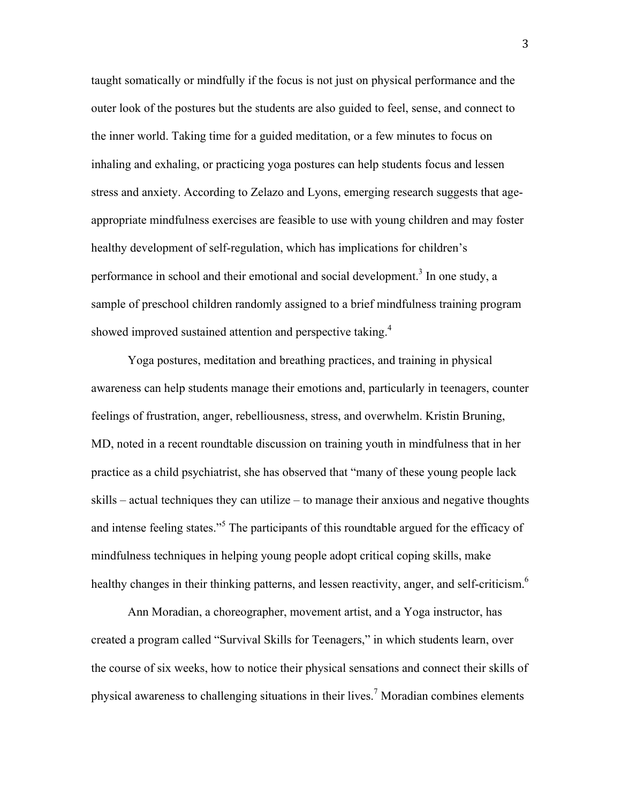taught somatically or mindfully if the focus is not just on physical performance and the outer look of the postures but the students are also guided to feel, sense, and connect to the inner world. Taking time for a guided meditation, or a few minutes to focus on inhaling and exhaling, or practicing yoga postures can help students focus and lessen stress and anxiety. According to Zelazo and Lyons, emerging research suggests that ageappropriate mindfulness exercises are feasible to use with young children and may foster healthy development of self-regulation, which has implications for children's performance in school and their emotional and social development.<sup>3</sup> In one study, a sample of preschool children randomly assigned to a brief mindfulness training program showed improved sustained attention and perspective taking.<sup>4</sup>

Yoga postures, meditation and breathing practices, and training in physical awareness can help students manage their emotions and, particularly in teenagers, counter feelings of frustration, anger, rebelliousness, stress, and overwhelm. Kristin Bruning, MD, noted in a recent roundtable discussion on training youth in mindfulness that in her practice as a child psychiatrist, she has observed that "many of these young people lack skills – actual techniques they can utilize – to manage their anxious and negative thoughts and intense feeling states."<sup>5</sup> The participants of this roundtable argued for the efficacy of mindfulness techniques in helping young people adopt critical coping skills, make healthy changes in their thinking patterns, and lessen reactivity, anger, and self-criticism.<sup>6</sup>

Ann Moradian, a choreographer, movement artist, and a Yoga instructor, has created a program called "Survival Skills for Teenagers," in which students learn, over the course of six weeks, how to notice their physical sensations and connect their skills of physical awareness to challenging situations in their lives.<sup>7</sup> Moradian combines elements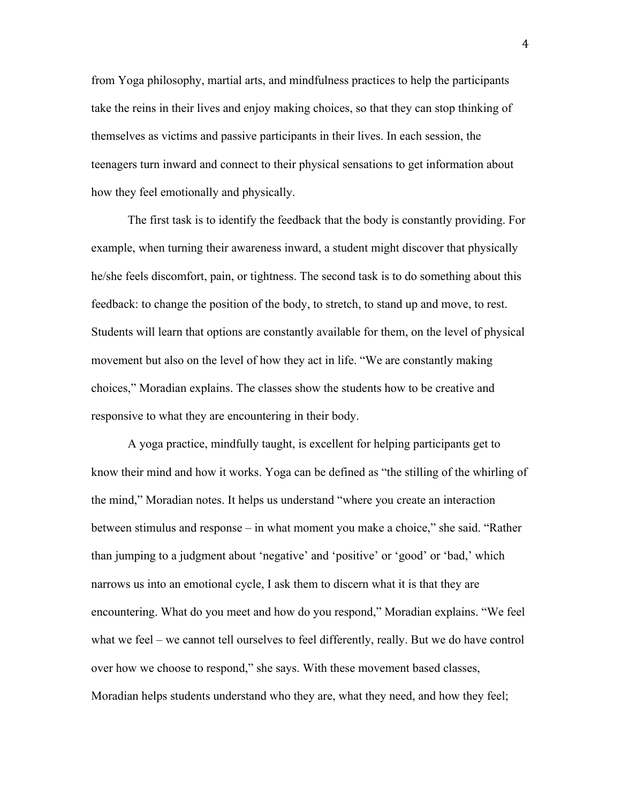from Yoga philosophy, martial arts, and mindfulness practices to help the participants take the reins in their lives and enjoy making choices, so that they can stop thinking of themselves as victims and passive participants in their lives. In each session, the teenagers turn inward and connect to their physical sensations to get information about how they feel emotionally and physically.

The first task is to identify the feedback that the body is constantly providing. For example, when turning their awareness inward, a student might discover that physically he/she feels discomfort, pain, or tightness. The second task is to do something about this feedback: to change the position of the body, to stretch, to stand up and move, to rest. Students will learn that options are constantly available for them, on the level of physical movement but also on the level of how they act in life. "We are constantly making choices," Moradian explains. The classes show the students how to be creative and responsive to what they are encountering in their body.

A yoga practice, mindfully taught, is excellent for helping participants get to know their mind and how it works. Yoga can be defined as "the stilling of the whirling of the mind," Moradian notes. It helps us understand "where you create an interaction between stimulus and response – in what moment you make a choice," she said. "Rather than jumping to a judgment about 'negative' and 'positive' or 'good' or 'bad,' which narrows us into an emotional cycle, I ask them to discern what it is that they are encountering. What do you meet and how do you respond," Moradian explains. "We feel what we feel – we cannot tell ourselves to feel differently, really. But we do have control over how we choose to respond," she says. With these movement based classes, Moradian helps students understand who they are, what they need, and how they feel;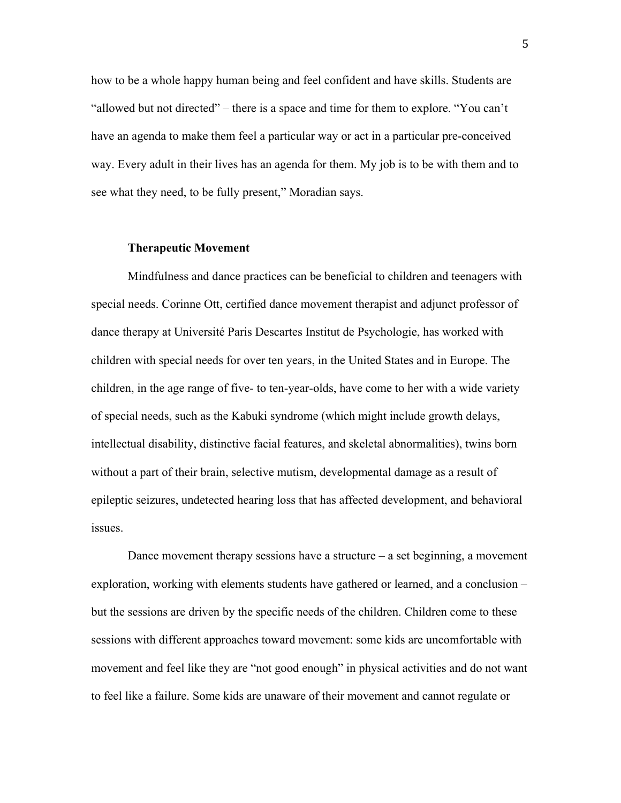how to be a whole happy human being and feel confident and have skills. Students are "allowed but not directed" – there is a space and time for them to explore. "You can't have an agenda to make them feel a particular way or act in a particular pre-conceived way. Every adult in their lives has an agenda for them. My job is to be with them and to see what they need, to be fully present," Moradian says.

#### **Therapeutic Movement**

Mindfulness and dance practices can be beneficial to children and teenagers with special needs. Corinne Ott, certified dance movement therapist and adjunct professor of dance therapy at Université Paris Descartes Institut de Psychologie, has worked with children with special needs for over ten years, in the United States and in Europe. The children, in the age range of five- to ten-year-olds, have come to her with a wide variety of special needs, such as the Kabuki syndrome (which might include growth delays, intellectual disability, distinctive facial features, and skeletal abnormalities), twins born without a part of their brain, selective mutism, developmental damage as a result of epileptic seizures, undetected hearing loss that has affected development, and behavioral issues.

Dance movement therapy sessions have a structure – a set beginning, a movement exploration, working with elements students have gathered or learned, and a conclusion – but the sessions are driven by the specific needs of the children. Children come to these sessions with different approaches toward movement: some kids are uncomfortable with movement and feel like they are "not good enough" in physical activities and do not want to feel like a failure. Some kids are unaware of their movement and cannot regulate or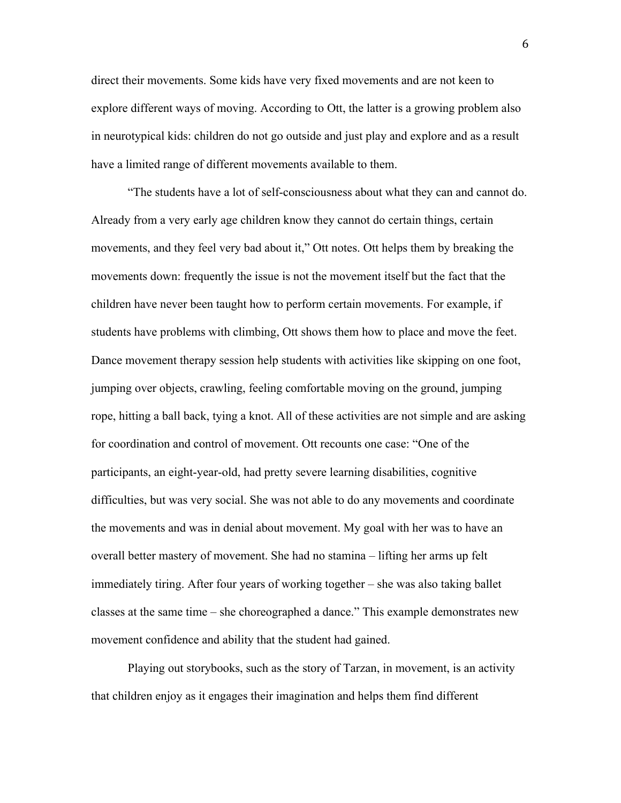direct their movements. Some kids have very fixed movements and are not keen to explore different ways of moving. According to Ott, the latter is a growing problem also in neurotypical kids: children do not go outside and just play and explore and as a result have a limited range of different movements available to them.

"The students have a lot of self-consciousness about what they can and cannot do. Already from a very early age children know they cannot do certain things, certain movements, and they feel very bad about it," Ott notes. Ott helps them by breaking the movements down: frequently the issue is not the movement itself but the fact that the children have never been taught how to perform certain movements. For example, if students have problems with climbing, Ott shows them how to place and move the feet. Dance movement therapy session help students with activities like skipping on one foot, jumping over objects, crawling, feeling comfortable moving on the ground, jumping rope, hitting a ball back, tying a knot. All of these activities are not simple and are asking for coordination and control of movement. Ott recounts one case: "One of the participants, an eight-year-old, had pretty severe learning disabilities, cognitive difficulties, but was very social. She was not able to do any movements and coordinate the movements and was in denial about movement. My goal with her was to have an overall better mastery of movement. She had no stamina – lifting her arms up felt immediately tiring. After four years of working together – she was also taking ballet classes at the same time – she choreographed a dance." This example demonstrates new movement confidence and ability that the student had gained.

Playing out storybooks, such as the story of Tarzan, in movement, is an activity that children enjoy as it engages their imagination and helps them find different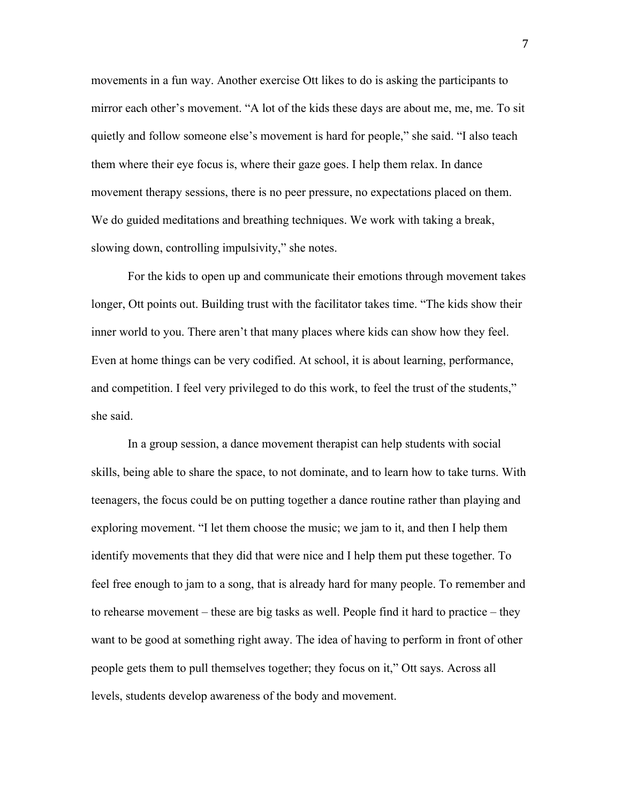movements in a fun way. Another exercise Ott likes to do is asking the participants to mirror each other's movement. "A lot of the kids these days are about me, me, me. To sit quietly and follow someone else's movement is hard for people," she said. "I also teach them where their eye focus is, where their gaze goes. I help them relax. In dance movement therapy sessions, there is no peer pressure, no expectations placed on them. We do guided meditations and breathing techniques. We work with taking a break, slowing down, controlling impulsivity," she notes.

For the kids to open up and communicate their emotions through movement takes longer, Ott points out. Building trust with the facilitator takes time. "The kids show their inner world to you. There aren't that many places where kids can show how they feel. Even at home things can be very codified. At school, it is about learning, performance, and competition. I feel very privileged to do this work, to feel the trust of the students," she said.

In a group session, a dance movement therapist can help students with social skills, being able to share the space, to not dominate, and to learn how to take turns. With teenagers, the focus could be on putting together a dance routine rather than playing and exploring movement. "I let them choose the music; we jam to it, and then I help them identify movements that they did that were nice and I help them put these together. To feel free enough to jam to a song, that is already hard for many people. To remember and to rehearse movement – these are big tasks as well. People find it hard to practice – they want to be good at something right away. The idea of having to perform in front of other people gets them to pull themselves together; they focus on it," Ott says. Across all levels, students develop awareness of the body and movement.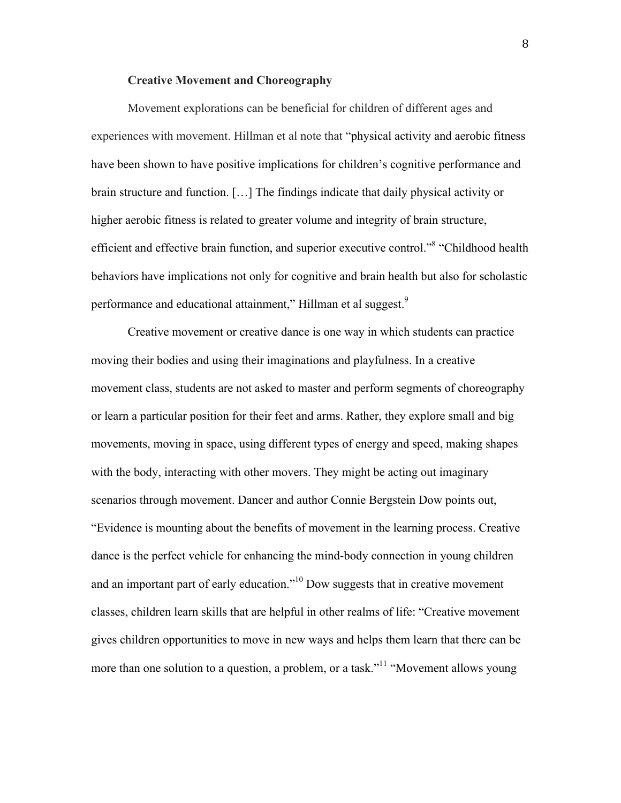# **Creative Movement and Choreography**

Movement explorations can be beneficial for children of different ages and experiences with movement. Hillman et al note that "physical activity and aerobic fitness have been shown to have positive implications for children's cognitive performance and brain structure and function. […] The findings indicate that daily physical activity or higher aerobic fitness is related to greater volume and integrity of brain structure, efficient and effective brain function, and superior executive control."<sup>8</sup> "Childhood health behaviors have implications not only for cognitive and brain health but also for scholastic performance and educational attainment," Hillman et al suggest.<sup>9</sup>

Creative movement or creative dance is one way in which students can practice moving their bodies and using their imaginations and playfulness. In a creative movement class, students are not asked to master and perform segments of choreography or learn a particular position for their feet and arms. Rather, they explore small and big movements, moving in space, using different types of energy and speed, making shapes with the body, interacting with other movers. They might be acting out imaginary scenarios through movement. Dancer and author Connie Bergstein Dow points out, "Evidence is mounting about the benefits of movement in the learning process. Creative dance is the perfect vehicle for enhancing the mind-body connection in young children and an important part of early education."10 Dow suggests that in creative movement classes, children learn skills that are helpful in other realms of life: "Creative movement gives children opportunities to move in new ways and helps them learn that there can be more than one solution to a question, a problem, or a task."<sup>11</sup> "Movement allows young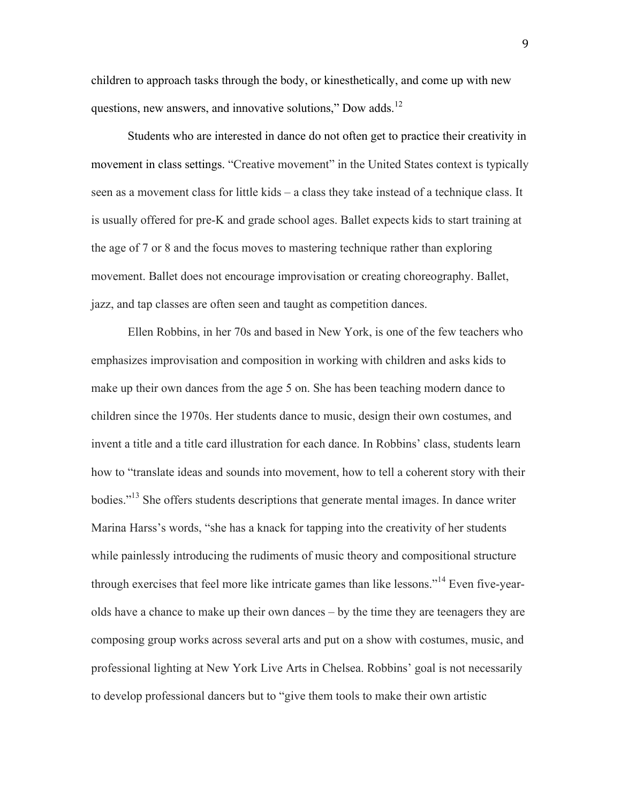children to approach tasks through the body, or kinesthetically, and come up with new questions, new answers, and innovative solutions," Dow adds. $^{12}$ 

Students who are interested in dance do not often get to practice their creativity in movement in class settings. "Creative movement" in the United States context is typically seen as a movement class for little kids – a class they take instead of a technique class. It is usually offered for pre-K and grade school ages. Ballet expects kids to start training at the age of 7 or 8 and the focus moves to mastering technique rather than exploring movement. Ballet does not encourage improvisation or creating choreography. Ballet, jazz, and tap classes are often seen and taught as competition dances.

Ellen Robbins, in her 70s and based in New York, is one of the few teachers who emphasizes improvisation and composition in working with children and asks kids to make up their own dances from the age 5 on. She has been teaching modern dance to children since the 1970s. Her students dance to music, design their own costumes, and invent a title and a title card illustration for each dance. In Robbins' class, students learn how to "translate ideas and sounds into movement, how to tell a coherent story with their bodies."13 She offers students descriptions that generate mental images. In dance writer Marina Harss's words, "she has a knack for tapping into the creativity of her students while painlessly introducing the rudiments of music theory and compositional structure through exercises that feel more like intricate games than like lessons."14 Even five-yearolds have a chance to make up their own dances – by the time they are teenagers they are composing group works across several arts and put on a show with costumes, music, and professional lighting at New York Live Arts in Chelsea. Robbins' goal is not necessarily to develop professional dancers but to "give them tools to make their own artistic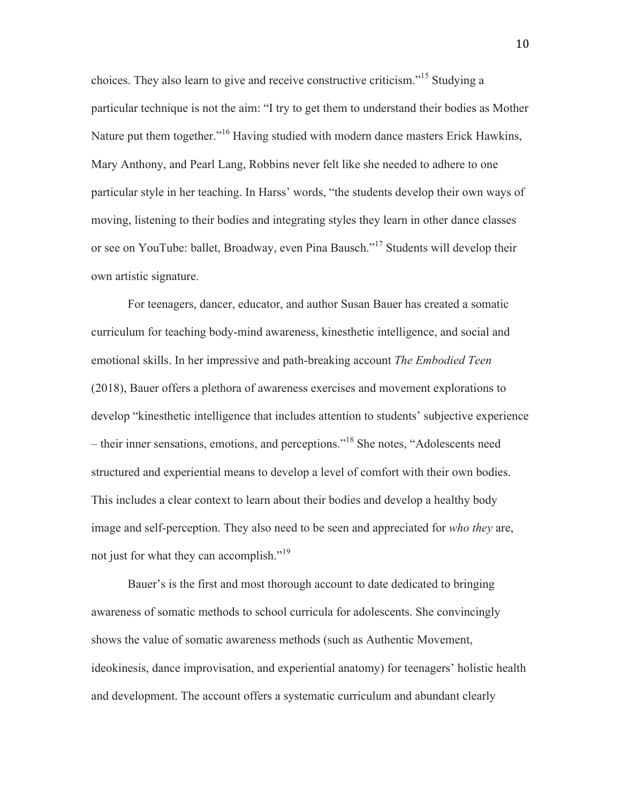choices. They also learn to give and receive constructive criticism."<sup>15</sup> Studying a particular technique is not the aim: "I try to get them to understand their bodies as Mother Nature put them together."<sup>16</sup> Having studied with modern dance masters Erick Hawkins, Mary Anthony, and Pearl Lang, Robbins never felt like she needed to adhere to one particular style in her teaching. In Harss' words, "the students develop their own ways of moving, listening to their bodies and integrating styles they learn in other dance classes or see on YouTube: ballet, Broadway, even Pina Bausch."<sup>17</sup> Students will develop their own artistic signature.

For teenagers, dancer, educator, and author Susan Bauer has created a somatic curriculum for teaching body-mind awareness, kinesthetic intelligence, and social and emotional skills. In her impressive and path-breaking account *The Embodied Teen* (2018), Bauer offers a plethora of awareness exercises and movement explorations to develop "kinesthetic intelligence that includes attention to students' subjective experience – their inner sensations, emotions, and perceptions."<sup>18</sup> She notes, "Adolescents need structured and experiential means to develop a level of comfort with their own bodies. This includes a clear context to learn about their bodies and develop a healthy body image and self-perception. They also need to be seen and appreciated for *who they* are, not just for what they can accomplish."<sup>19</sup>

Bauer's is the first and most thorough account to date dedicated to bringing awareness of somatic methods to school curricula for adolescents. She convincingly shows the value of somatic awareness methods (such as Authentic Movement, ideokinesis, dance improvisation, and experiential anatomy) for teenagers' holistic health and development. The account offers a systematic curriculum and abundant clearly

10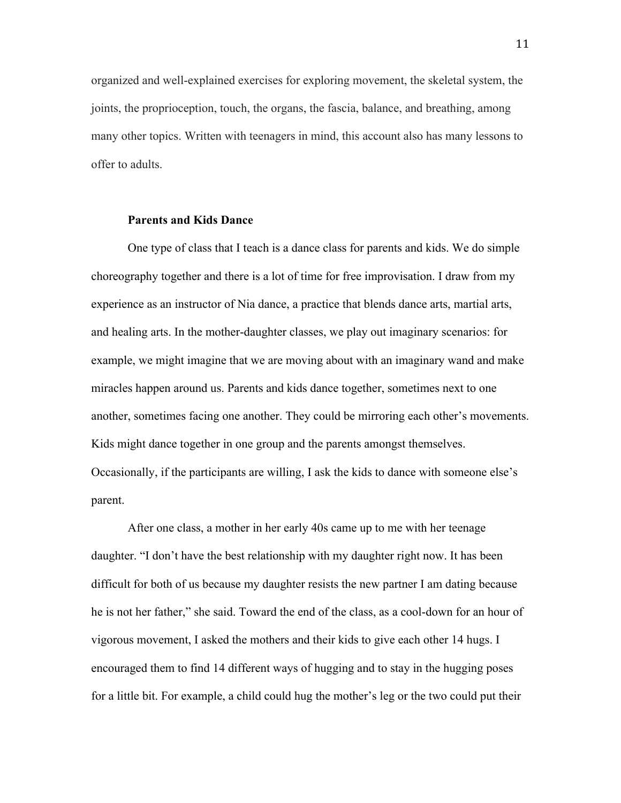organized and well-explained exercises for exploring movement, the skeletal system, the joints, the proprioception, touch, the organs, the fascia, balance, and breathing, among many other topics. Written with teenagers in mind, this account also has many lessons to offer to adults.

# **Parents and Kids Dance**

One type of class that I teach is a dance class for parents and kids. We do simple choreography together and there is a lot of time for free improvisation. I draw from my experience as an instructor of Nia dance, a practice that blends dance arts, martial arts, and healing arts. In the mother-daughter classes, we play out imaginary scenarios: for example, we might imagine that we are moving about with an imaginary wand and make miracles happen around us. Parents and kids dance together, sometimes next to one another, sometimes facing one another. They could be mirroring each other's movements. Kids might dance together in one group and the parents amongst themselves. Occasionally, if the participants are willing, I ask the kids to dance with someone else's parent.

After one class, a mother in her early 40s came up to me with her teenage daughter. "I don't have the best relationship with my daughter right now. It has been difficult for both of us because my daughter resists the new partner I am dating because he is not her father," she said. Toward the end of the class, as a cool-down for an hour of vigorous movement, I asked the mothers and their kids to give each other 14 hugs. I encouraged them to find 14 different ways of hugging and to stay in the hugging poses for a little bit. For example, a child could hug the mother's leg or the two could put their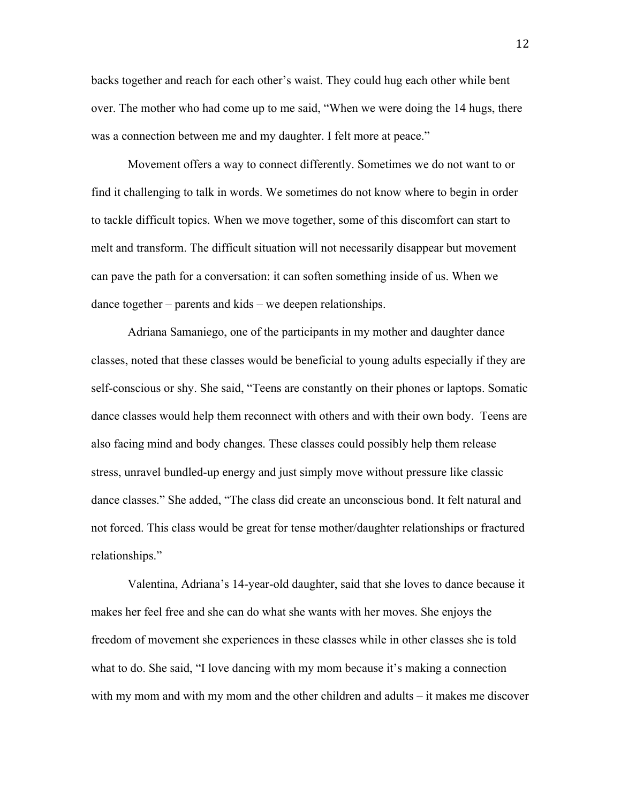backs together and reach for each other's waist. They could hug each other while bent over. The mother who had come up to me said, "When we were doing the 14 hugs, there was a connection between me and my daughter. I felt more at peace."

Movement offers a way to connect differently. Sometimes we do not want to or find it challenging to talk in words. We sometimes do not know where to begin in order to tackle difficult topics. When we move together, some of this discomfort can start to melt and transform. The difficult situation will not necessarily disappear but movement can pave the path for a conversation: it can soften something inside of us. When we dance together – parents and kids – we deepen relationships.

Adriana Samaniego, one of the participants in my mother and daughter dance classes, noted that these classes would be beneficial to young adults especially if they are self-conscious or shy. She said, "Teens are constantly on their phones or laptops. Somatic dance classes would help them reconnect with others and with their own body. Teens are also facing mind and body changes. These classes could possibly help them release stress, unravel bundled-up energy and just simply move without pressure like classic dance classes." She added, "The class did create an unconscious bond. It felt natural and not forced. This class would be great for tense mother/daughter relationships or fractured relationships."

Valentina, Adriana's 14-year-old daughter, said that she loves to dance because it makes her feel free and she can do what she wants with her moves. She enjoys the freedom of movement she experiences in these classes while in other classes she is told what to do. She said, "I love dancing with my mom because it's making a connection with my mom and with my mom and the other children and adults – it makes me discover

12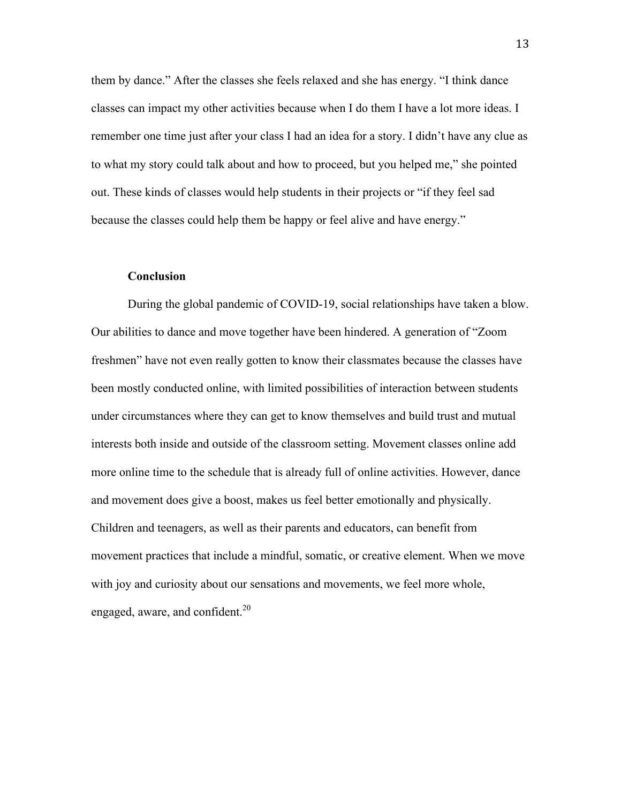them by dance." After the classes she feels relaxed and she has energy. "I think dance classes can impact my other activities because when I do them I have a lot more ideas. I remember one time just after your class I had an idea for a story. I didn't have any clue as to what my story could talk about and how to proceed, but you helped me," she pointed out. These kinds of classes would help students in their projects or "if they feel sad because the classes could help them be happy or feel alive and have energy."

# **Conclusion**

During the global pandemic of COVID-19, social relationships have taken a blow. Our abilities to dance and move together have been hindered. A generation of "Zoom freshmen" have not even really gotten to know their classmates because the classes have been mostly conducted online, with limited possibilities of interaction between students under circumstances where they can get to know themselves and build trust and mutual interests both inside and outside of the classroom setting. Movement classes online add more online time to the schedule that is already full of online activities. However, dance and movement does give a boost, makes us feel better emotionally and physically. Children and teenagers, as well as their parents and educators, can benefit from movement practices that include a mindful, somatic, or creative element. When we move with joy and curiosity about our sensations and movements, we feel more whole, engaged, aware, and confident. $^{20}$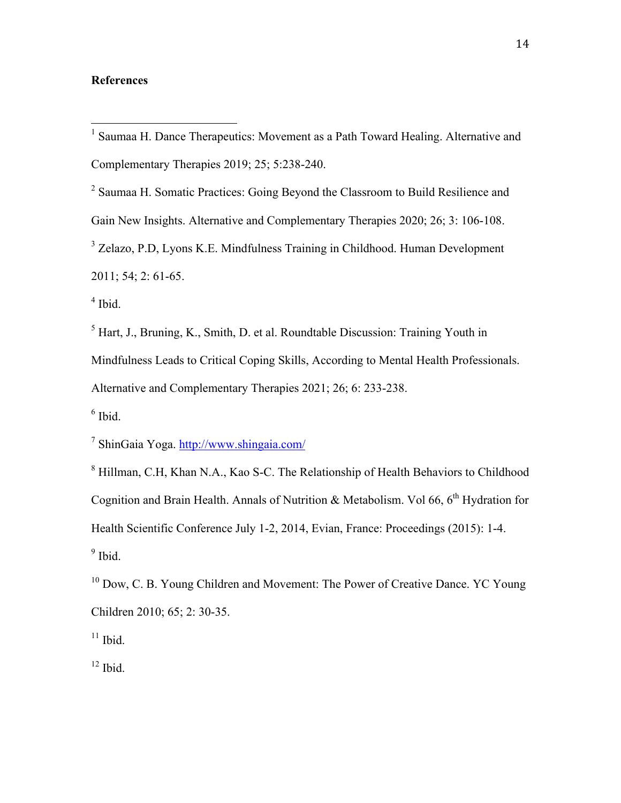# **References**

<sup>2</sup> Saumaa H. Somatic Practices: Going Beyond the Classroom to Build Resilience and

Gain New Insights. Alternative and Complementary Therapies 2020; 26; 3: 106-108.

<sup>3</sup> Zelazo, P.D. Lyons K.E. Mindfulness Training in Childhood. Human Development 2011; 54; 2: 61-65.

 $<sup>4</sup>$  Ibid.</sup>

 $<sup>5</sup>$  Hart, J., Bruning, K., Smith, D. et al. Roundtable Discussion: Training Youth in</sup>

Mindfulness Leads to Critical Coping Skills, According to Mental Health Professionals.

Alternative and Complementary Therapies 2021; 26; 6: 233-238.

 $6$  Ibid.

<sup>7</sup> ShinGaia Yoga. http://www.shingaia.com/

<sup>8</sup> Hillman, C.H, Khan N.A., Kao S-C. The Relationship of Health Behaviors to Childhood Cognition and Brain Health. Annals of Nutrition  $\&$  Metabolism. Vol 66, 6<sup>th</sup> Hydration for Health Scientific Conference July 1-2, 2014, Evian, France: Proceedings (2015): 1-4.  $9$  Ibid.

 $10$  Dow, C. B. Young Children and Movement: The Power of Creative Dance. YC Young Children 2010; 65; 2: 30-35.

 $11$  Ibid.

 $12$  Ibid.

 <sup>1</sup> Saumaa H. Dance Therapeutics: Movement as a Path Toward Healing. Alternative and Complementary Therapies 2019; 25; 5:238-240.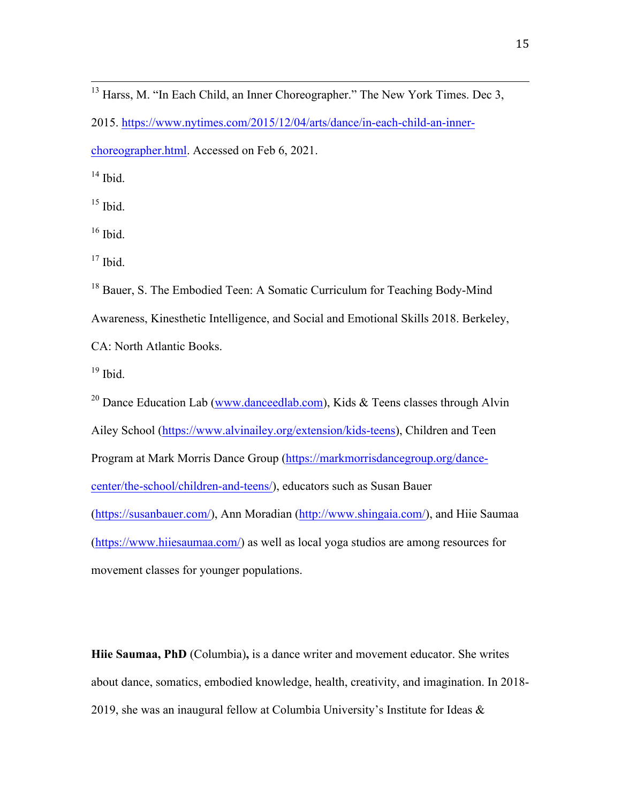<sup>13</sup> Harss, M. "In Each Child, an Inner Choreographer." The New York Times. Dec 3, 2015. https://www.nytimes.com/2015/12/04/arts/dance/in-each-child-an-innerchoreographer.html. Accessed on Feb 6, 2021.

 $14$  Ibid.

 $15$  Ibid.

 $16$  Ibid.

 $17$  Ibid.

<sup>18</sup> Bauer, S. The Embodied Teen: A Somatic Curriculum for Teaching Body-Mind Awareness, Kinesthetic Intelligence, and Social and Emotional Skills 2018. Berkeley, CA: North Atlantic Books.

 $19$  Ibid.

<sup>20</sup> Dance Education Lab (www.danceedlab.com), Kids & Teens classes through Alvin Ailey School (https://www.alvinailey.org/extension/kids-teens), Children and Teen Program at Mark Morris Dance Group (https://markmorrisdancegroup.org/dancecenter/the-school/children-and-teens/), educators such as Susan Bauer (https://susanbauer.com/), Ann Moradian (http://www.shingaia.com/), and Hiie Saumaa (https://www.hiiesaumaa.com/) as well as local yoga studios are among resources for movement classes for younger populations.

**Hiie Saumaa, PhD** (Columbia)**,** is a dance writer and movement educator. She writes about dance, somatics, embodied knowledge, health, creativity, and imagination. In 2018- 2019, she was an inaugural fellow at Columbia University's Institute for Ideas  $\&$